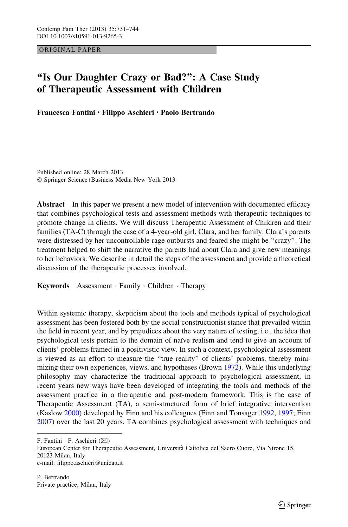ORIGINAL PAPER

# ''Is Our Daughter Crazy or Bad?'': A Case Study of Therapeutic Assessment with Children

Francesca Fantini • Filippo Aschieri • Paolo Bertrando

Published online: 28 March 2013 © Springer Science+Business Media New York 2013

Abstract In this paper we present a new model of intervention with documented efficacy that combines psychological tests and assessment methods with therapeutic techniques to promote change in clients. We will discuss Therapeutic Assessment of Children and their families (TA-C) through the case of a 4-year-old girl, Clara, and her family. Clara's parents were distressed by her uncontrollable rage outbursts and feared she might be ''crazy''. The treatment helped to shift the narrative the parents had about Clara and give new meanings to her behaviors. We describe in detail the steps of the assessment and provide a theoretical discussion of the therapeutic processes involved.

Keywords Assessment · Family · Children · Therapy

Within systemic therapy, skepticism about the tools and methods typical of psychological assessment has been fostered both by the social constructionist stance that prevailed within the field in recent year, and by prejudices about the very nature of testing, i.e., the idea that psychological tests pertain to the domain of naïve realism and tend to give an account of clients' problems framed in a positivistic view. In such a context, psychological assessment is viewed as an effort to measure the "true reality" of clients' problems, thereby minimizing their own experiences, views, and hypotheses (Brown [1972\)](#page-11-0). While this underlying philosophy may characterize the traditional approach to psychological assessment, in recent years new ways have been developed of integrating the tools and methods of the assessment practice in a therapeutic and post-modern framework. This is the case of Therapeutic Assessment (TA), a semi-structured form of brief integrative intervention (Kaslow [2000](#page-12-0)) developed by Finn and his colleagues (Finn and Tonsager [1992,](#page-11-0) [1997](#page-11-0); Finn [2007\)](#page-11-0) over the last 20 years. TA combines psychological assessment with techniques and

F. Fantini  $\cdot$  F. Aschieri ( $\boxtimes$ )

European Center for Therapeutic Assessment, Universita` Cattolica del Sacro Cuore, Via Nirone 15, 20123 Milan, Italy e-mail: filippo.aschieri@unicatt.it

P. Bertrando Private practice, Milan, Italy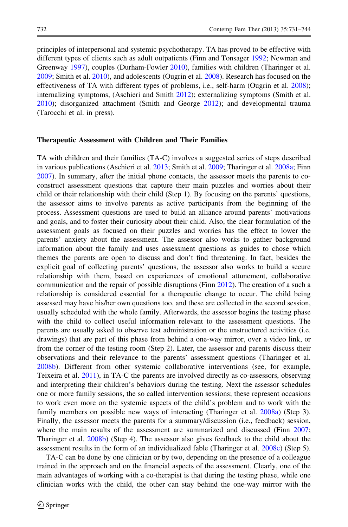principles of interpersonal and systemic psychotherapy. TA has proved to be effective with different types of clients such as adult outpatients (Finn and Tonsager [1992;](#page-11-0) Newman and Greenway [1997\)](#page-12-0), couples (Durham-Fowler [2010\)](#page-11-0), families with children (Tharinger et al. [2009;](#page-13-0) Smith et al. [2010](#page-12-0)), and adolescents (Ougrin et al. [2008](#page-12-0)). Research has focused on the effectiveness of TA with different types of problems, i.e., self-harm (Ougrin et al. [2008\)](#page-12-0); internalizing symptoms, (Aschieri and Smith [2012](#page-11-0)); externalizing symptoms (Smith et al. [2010\)](#page-12-0); disorganized attachment (Smith and George [2012](#page-12-0)); and developmental trauma (Tarocchi et al. in press).

#### Therapeutic Assessment with Children and Their Families

TA with children and their families (TA-C) involves a suggested series of steps described in various publications (Aschieri et al. [2013](#page-11-0); Smith et al. [2009;](#page-12-0) Tharinger et al. [2008a](#page-12-0); Finn [2007\)](#page-11-0). In summary, after the initial phone contacts, the assessor meets the parents to coconstruct assessment questions that capture their main puzzles and worries about their child or their relationship with their child (Step 1). By focusing on the parents' questions, the assessor aims to involve parents as active participants from the beginning of the process. Assessment questions are used to build an alliance around parents' motivations and goals, and to foster their curiosity about their child. Also, the clear formulation of the assessment goals as focused on their puzzles and worries has the effect to lower the parents' anxiety about the assessment. The assessor also works to gather background information about the family and uses assessment questions as guides to chose which themes the parents are open to discuss and don't find threatening. In fact, besides the explicit goal of collecting parents' questions, the assessor also works to build a secure relationship with them, based on experiences of emotional attunement, collaborative communication and the repair of possible disruptions (Finn [2012](#page-11-0)). The creation of a such a relationship is considered essential for a therapeutic change to occur. The child being assessed may have his/her own questions too, and these are collected in the second session, usually scheduled with the whole family. Afterwards, the assessor begins the testing phase with the child to collect useful information relevant to the assessment questions. The parents are usually asked to observe test administration or the unstructured activities (i.e. drawings) that are part of this phase from behind a one-way mirror, over a video link, or from the corner of the testing room (Step 2). Later, the assessor and parents discuss their observations and their relevance to the parents' assessment questions (Tharinger et al. [2008b](#page-13-0)). Different from other systemic collaborative interventions (see, for example, Teixeira et al. [2011](#page-12-0)), in TA-C the parents are involved directly as co-assessors, observing and interpreting their children's behaviors during the testing. Next the assessor schedules one or more family sessions, the so called intervention sessions; these represent occasions to work even more on the systemic aspects of the child's problem and to work with the family members on possible new ways of interacting (Tharinger et al. [2008a\)](#page-12-0) (Step 3). Finally, the assessor meets the parents for a summary/discussion (i.e., feedback) session, where the main results of the assessment are summarized and discussed (Finn [2007;](#page-11-0) Tharinger et al. [2008b\)](#page-13-0) (Step 4). The assessor also gives feedback to the child about the assessment results in the form of an individualized fable (Tharinger et al. [2008c\)](#page-13-0) (Step 5).

TA-C can be done by one clinician or by two, depending on the presence of a colleague trained in the approach and on the financial aspects of the assessment. Clearly, one of the main advantages of working with a co-therapist is that during the testing phase, while one clinician works with the child, the other can stay behind the one-way mirror with the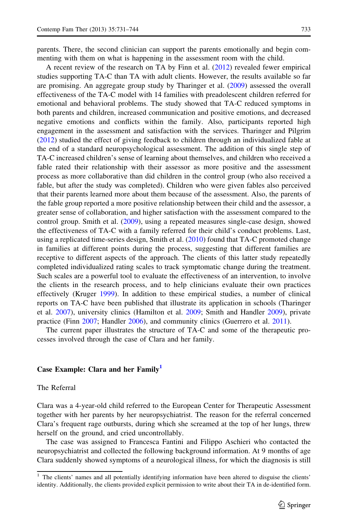parents. There, the second clinician can support the parents emotionally and begin commenting with them on what is happening in the assessment room with the child.

A recent review of the research on TA by Finn et al. [\(2012](#page-11-0)) revealed fewer empirical studies supporting TA-C than TA with adult clients. However, the results available so far are promising. An aggregate group study by Tharinger et al. [\(2009](#page-13-0)) assessed the overall effectiveness of the TA-C model with 14 families with preadolescent children referred for emotional and behavioral problems. The study showed that TA-C reduced symptoms in both parents and children, increased communication and positive emotions, and decreased negative emotions and conflicts within the family. Also, participants reported high engagement in the assessment and satisfaction with the services. Tharinger and Pilgrim ([2012\)](#page-13-0) studied the effect of giving feedback to children through an individualized fable at the end of a standard neuropsychological assessment. The addition of this single step of TA-C increased children's sense of learning about themselves, and children who received a fable rated their relationship with their assessor as more positive and the assessment process as more collaborative than did children in the control group (who also received a fable, but after the study was completed). Children who were given fables also perceived that their parents learned more about them because of the assessment. Also, the parents of the fable group reported a more positive relationship between their child and the assessor, a greater sense of collaboration, and higher satisfaction with the assessment compared to the control group. Smith et al. ([2009\)](#page-12-0), using a repeated measures single-case design, showed the effectiveness of TA-C with a family referred for their child's conduct problems. Last, using a replicated time-series design, Smith et al. ([2010\)](#page-12-0) found that TA-C promoted change in families at different points during the process, suggesting that different families are receptive to different aspects of the approach. The clients of this latter study repeatedly completed individualized rating scales to track symptomatic change during the treatment. Such scales are a powerful tool to evaluate the effectiveness of an intervention, to involve the clients in the research process, and to help clinicians evaluate their own practices effectively (Kruger [1999\)](#page-12-0). In addition to these empirical studies, a number of clinical reports on TA-C have been published that illustrate its application in schools (Tharinger et al. [2007](#page-13-0)), university clinics (Hamilton et al. [2009;](#page-12-0) Smith and Handler [2009\)](#page-12-0), private practice (Finn [2007;](#page-11-0) Handler [2006](#page-12-0)), and community clinics (Guerrero et al. [2011\)](#page-11-0).

The current paper illustrates the structure of TA-C and some of the therapeutic processes involved through the case of Clara and her family.

## Case Example: Clara and her Family<sup>1</sup>

### The Referral

Clara was a 4-year-old child referred to the European Center for Therapeutic Assessment together with her parents by her neuropsychiatrist. The reason for the referral concerned Clara's frequent rage outbursts, during which she screamed at the top of her lungs, threw herself on the ground, and cried uncontrollably.

The case was assigned to Francesca Fantini and Filippo Aschieri who contacted the neuropsychiatrist and collected the following background information. At 9 months of age Clara suddenly showed symptoms of a neurological illness, for which the diagnosis is still

 $<sup>1</sup>$  The clients' names and all potentially identifying information have been altered to disguise the clients'</sup> identity. Additionally, the clients provided explicit permission to write about their TA in de-identified form.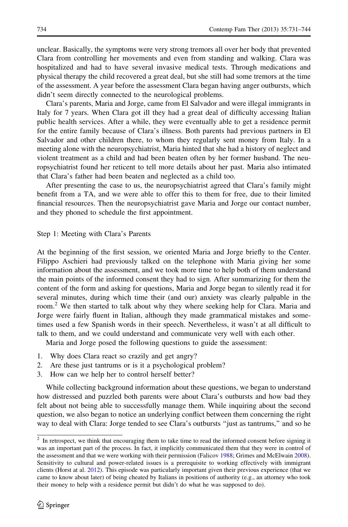unclear. Basically, the symptoms were very strong tremors all over her body that prevented Clara from controlling her movements and even from standing and walking. Clara was hospitalized and had to have several invasive medical tests. Through medications and physical therapy the child recovered a great deal, but she still had some tremors at the time of the assessment. A year before the assessment Clara began having anger outbursts, which didn't seem directly connected to the neurological problems.

Clara's parents, Maria and Jorge, came from El Salvador and were illegal immigrants in Italy for 7 years. When Clara got ill they had a great deal of difficulty accessing Italian public health services. After a while, they were eventually able to get a residence permit for the entire family because of Clara's illness. Both parents had previous partners in El Salvador and other children there, to whom they regularly sent money from Italy. In a meeting alone with the neuropsychiatrist, Maria hinted that she had a history of neglect and violent treatment as a child and had been beaten often by her former husband. The neuropsychiatrist found her reticent to tell more details about her past. Maria also intimated that Clara's father had been beaten and neglected as a child too.

After presenting the case to us, the neuropsychiatrist agreed that Clara's family might benefit from a TA, and we were able to offer this to them for free, due to their limited financial resources. Then the neuropsychiatrist gave Maria and Jorge our contact number, and they phoned to schedule the first appointment.

#### Step 1: Meeting with Clara's Parents

At the beginning of the first session, we oriented Maria and Jorge briefly to the Center. Filippo Aschieri had previously talked on the telephone with Maria giving her some information about the assessment, and we took more time to help both of them understand the main points of the informed consent they had to sign. After summarizing for them the content of the form and asking for questions, Maria and Jorge began to silently read it for several minutes, during which time their (and our) anxiety was clearly palpable in the room.<sup>2</sup> We then started to talk about why they where seeking help for Clara. Maria and Jorge were fairly fluent in Italian, although they made grammatical mistakes and sometimes used a few Spanish words in their speech. Nevertheless, it wasn't at all difficult to talk to them, and we could understand and communicate very well with each other.

Maria and Jorge posed the following questions to guide the assessment:

- 1. Why does Clara react so crazily and get angry?
- 2. Are these just tantrums or is it a psychological problem?
- 3. How can we help her to control herself better?

While collecting background information about these questions, we began to understand how distressed and puzzled both parents were about Clara's outbursts and how bad they felt about not being able to successfully manage them. While inquiring about the second question, we also began to notice an underlying conflict between them concerning the right way to deal with Clara: Jorge tended to see Clara's outbursts ''just as tantrums,'' and so he

<sup>&</sup>lt;sup>2</sup> In retrospect, we think that encouraging them to take time to read the informed consent before signing it was an important part of the process. In fact, it implicitly communicated them that they were in control of the assessment and that we were working with their permission (Falicov [1988](#page-11-0); Grimes and McElwain [2008\)](#page-11-0). Sensitivity to cultural and power-related issues is a prerequisite to working effectively with immigrant clients (Horst at al. [2012](#page-12-0)). This episode was particularly important given their previous experience (that we came to know about later) of being cheated by Italians in positions of authority (e.g., an attorney who took their money to help with a residence permit but didn't do what he was supposed to do).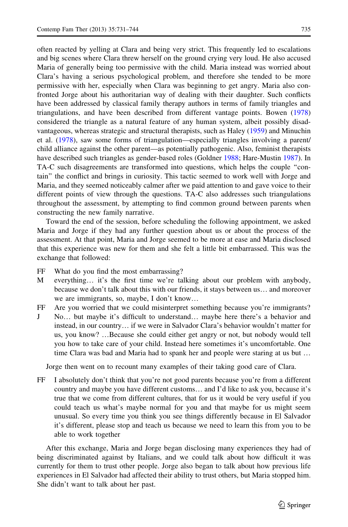often reacted by yelling at Clara and being very strict. This frequently led to escalations and big scenes where Clara threw herself on the ground crying very loud. He also accused Maria of generally being too permissive with the child. Maria instead was worried about Clara's having a serious psychological problem, and therefore she tended to be more permissive with her, especially when Clara was beginning to get angry. Maria also confronted Jorge about his authoritarian way of dealing with their daughter. Such conflicts have been addressed by classical family therapy authors in terms of family triangles and triangulations, and have been described from different vantage points. Bowen ([1978](#page-11-0)) considered the triangle as a natural feature of any human system, albeit possibly disadvantageous, whereas strategic and structural therapists, such as Haley [\(1959](#page-12-0)) and Minuchin et al. ([1978\)](#page-12-0), saw some forms of triangulation—especially triangles involving a parent/ child alliance against the other parent—as potentially pathogenic. Also, feminist therapists have described such triangles as gender-based roles (Goldner [1988;](#page-11-0) Hare-Mustin [1987\)](#page-12-0). In TA-C such disagreements are transformed into questions, which helps the couple ''contain'' the conflict and brings in curiosity. This tactic seemed to work well with Jorge and Maria, and they seemed noticeably calmer after we paid attention to and gave voice to their different points of view through the questions. TA-C also addresses such triangulations throughout the assessment, by attempting to find common ground between parents when constructing the new family narrative.

Toward the end of the session, before scheduling the following appointment, we asked Maria and Jorge if they had any further question about us or about the process of the assessment. At that point, Maria and Jorge seemed to be more at ease and Maria disclosed that this experience was new for them and she felt a little bit embarrassed. This was the exchange that followed:

- FF What do you find the most embarrassing?
- M everything… it's the first time we're talking about our problem with anybody, because we don't talk about this with our friends, it stays between us… and moreover we are immigrants, so, maybe, I don't know…
- FF Are you worried that we could misinterpret something because you're immigrants?
- J No… but maybe it's difficult to understand… maybe here there's a behavior and instead, in our country… if we were in Salvador Clara's behavior wouldn't matter for us, you know? …Because she could either get angry or not, but nobody would tell you how to take care of your child. Instead here sometimes it's uncomfortable. One time Clara was bad and Maria had to spank her and people were staring at us but …

Jorge then went on to recount many examples of their taking good care of Clara.

FF I absolutely don't think that you're not good parents because you're from a different country and maybe you have different customs… and I'd like to ask you, because it's true that we come from different cultures, that for us it would be very useful if you could teach us what's maybe normal for you and that maybe for us might seem unusual. So every time you think you see things differently because in El Salvador it's different, please stop and teach us because we need to learn this from you to be able to work together

After this exchange, Maria and Jorge began disclosing many experiences they had of being discriminated against by Italians, and we could talk about how difficult it was currently for them to trust other people. Jorge also began to talk about how previous life experiences in El Salvador had affected their ability to trust others, but Maria stopped him. She didn't want to talk about her past.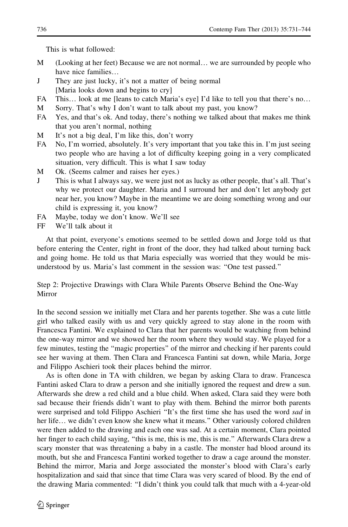This is what followed:

- M (Looking at her feet) Because we are not normal… we are surrounded by people who have nice families…
- J They are just lucky, it's not a matter of being normal [Maria looks down and begins to cry]
- FA This... look at me [leans to catch Maria's eye] I'd like to tell you that there's no...
- M Sorry. That's why I don't want to talk about my past, you know?
- FA Yes, and that's ok. And today, there's nothing we talked about that makes me think that you aren't normal, nothing
- M It's not a big deal, I'm like this, don't worry
- FA No, I'm worried, absolutely. It's very important that you take this in. I'm just seeing two people who are having a lot of difficulty keeping going in a very complicated situation, very difficult. This is what I saw today
- M Ok. (Seems calmer and raises her eyes.)
- J This is what I always say, we were just not as lucky as other people, that's all. That's why we protect our daughter. Maria and I surround her and don't let anybody get near her, you know? Maybe in the meantime we are doing something wrong and our child is expressing it, you know?
- FA Maybe, today we don't know. We'll see
- FF We'll talk about it

At that point, everyone's emotions seemed to be settled down and Jorge told us that before entering the Center, right in front of the door, they had talked about turning back and going home. He told us that Maria especially was worried that they would be misunderstood by us. Maria's last comment in the session was: ''One test passed.''

Step 2: Projective Drawings with Clara While Parents Observe Behind the One-Way Mirror

In the second session we initially met Clara and her parents together. She was a cute little girl who talked easily with us and very quickly agreed to stay alone in the room with Francesca Fantini. We explained to Clara that her parents would be watching from behind the one-way mirror and we showed her the room where they would stay. We played for a few minutes, testing the ''magic properties'' of the mirror and checking if her parents could see her waving at them. Then Clara and Francesca Fantini sat down, while Maria, Jorge and Filippo Aschieri took their places behind the mirror.

As is often done in TA with children, we began by asking Clara to draw. Francesca Fantini asked Clara to draw a person and she initially ignored the request and drew a sun. Afterwards she drew a red child and a blue child. When asked, Clara said they were both sad because their friends didn't want to play with them. Behind the mirror both parents were surprised and told Filippo Aschieri "It's the first time she has used the word sad in her life... we didn't even know she knew what it means." Other variously colored children were then added to the drawing and each one was sad. At a certain moment, Clara pointed her finger to each child saying, ''this is me, this is me, this is me.'' Afterwards Clara drew a scary monster that was threatening a baby in a castle. The monster had blood around its mouth, but she and Francesca Fantini worked together to draw a cage around the monster. Behind the mirror, Maria and Jorge associated the monster's blood with Clara's early hospitalization and said that since that time Clara was very scared of blood. By the end of the drawing Maria commented: ''I didn't think you could talk that much with a 4-year-old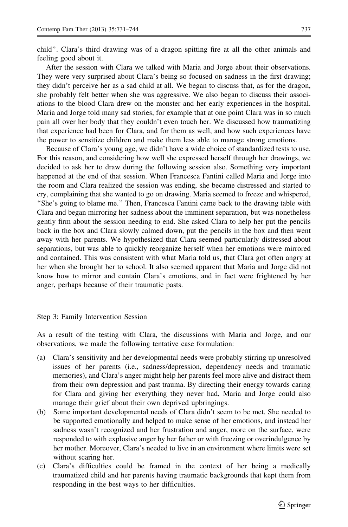child''. Clara's third drawing was of a dragon spitting fire at all the other animals and feeling good about it.

After the session with Clara we talked with Maria and Jorge about their observations. They were very surprised about Clara's being so focused on sadness in the first drawing; they didn't perceive her as a sad child at all. We began to discuss that, as for the dragon, she probably felt better when she was aggressive. We also began to discuss their associations to the blood Clara drew on the monster and her early experiences in the hospital. Maria and Jorge told many sad stories, for example that at one point Clara was in so much pain all over her body that they couldn't even touch her. We discussed how traumatizing that experience had been for Clara, and for them as well, and how such experiences have the power to sensitize children and make them less able to manage strong emotions.

Because of Clara's young age, we didn't have a wide choice of standardized tests to use. For this reason, and considering how well she expressed herself through her drawings, we decided to ask her to draw during the following session also. Something very important happened at the end of that session. When Francesca Fantini called Maria and Jorge into the room and Clara realized the session was ending, she became distressed and started to cry, complaining that she wanted to go on drawing. Maria seemed to freeze and whispered, ''She's going to blame me.'' Then, Francesca Fantini came back to the drawing table with Clara and began mirroring her sadness about the imminent separation, but was nonetheless gently firm about the session needing to end. She asked Clara to help her put the pencils back in the box and Clara slowly calmed down, put the pencils in the box and then went away with her parents. We hypothesized that Clara seemed particularly distressed about separations, but was able to quickly reorganize herself when her emotions were mirrored and contained. This was consistent with what Maria told us, that Clara got often angry at her when she brought her to school. It also seemed apparent that Maria and Jorge did not know how to mirror and contain Clara's emotions, and in fact were frightened by her anger, perhaps because of their traumatic pasts.

## Step 3: Family Intervention Session

As a result of the testing with Clara, the discussions with Maria and Jorge, and our observations, we made the following tentative case formulation:

- (a) Clara's sensitivity and her developmental needs were probably stirring up unresolved issues of her parents (i.e., sadness/depression, dependency needs and traumatic memories), and Clara's anger might help her parents feel more alive and distract them from their own depression and past trauma. By directing their energy towards caring for Clara and giving her everything they never had, Maria and Jorge could also manage their grief about their own deprived upbringings.
- (b) Some important developmental needs of Clara didn't seem to be met. She needed to be supported emotionally and helped to make sense of her emotions, and instead her sadness wasn't recognized and her frustration and anger, more on the surface, were responded to with explosive anger by her father or with freezing or overindulgence by her mother. Moreover, Clara's needed to live in an environment where limits were set without scaring her.
- (c) Clara's difficulties could be framed in the context of her being a medically traumatized child and her parents having traumatic backgrounds that kept them from responding in the best ways to her difficulties.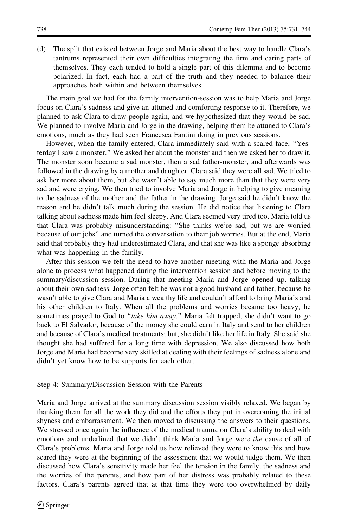(d) The split that existed between Jorge and Maria about the best way to handle Clara's tantrums represented their own difficulties integrating the firm and caring parts of themselves. They each tended to hold a single part of this dilemma and to become polarized. In fact, each had a part of the truth and they needed to balance their approaches both within and between themselves.

The main goal we had for the family intervention-session was to help Maria and Jorge focus on Clara's sadness and give an attuned and comforting response to it. Therefore, we planned to ask Clara to draw people again, and we hypothesized that they would be sad. We planned to involve Maria and Jorge in the drawing, helping them be attuned to Clara's emotions, much as they had seen Francesca Fantini doing in previous sessions.

However, when the family entered, Clara immediately said with a scared face, ''Yesterday I saw a monster.'' We asked her about the monster and then we asked her to draw it. The monster soon became a sad monster, then a sad father-monster, and afterwards was followed in the drawing by a mother and daughter. Clara said they were all sad. We tried to ask her more about them, but she wasn't able to say much more than that they were very sad and were crying. We then tried to involve Maria and Jorge in helping to give meaning to the sadness of the mother and the father in the drawing. Jorge said he didn't know the reason and he didn't talk much during the session. He did notice that listening to Clara talking about sadness made him feel sleepy. And Clara seemed very tired too. Maria told us that Clara was probably misunderstanding: ''She thinks we're sad, but we are worried because of our jobs'' and turned the conversation to their job worries. But at the end, Maria said that probably they had underestimated Clara, and that she was like a sponge absorbing what was happening in the family.

After this session we felt the need to have another meeting with the Maria and Jorge alone to process what happened during the intervention session and before moving to the summary/discussion session. During that meeting Maria and Jorge opened up, talking about their own sadness. Jorge often felt he was not a good husband and father, because he wasn't able to give Clara and Maria a wealthy life and couldn't afford to bring Maria's and his other children to Italy. When all the problems and worries became too heavy, he sometimes prayed to God to "take him away." Maria felt trapped, she didn't want to go back to El Salvador, because of the money she could earn in Italy and send to her children and because of Clara's medical treatments; but, she didn't like her life in Italy. She said she thought she had suffered for a long time with depression. We also discussed how both Jorge and Maria had become very skilled at dealing with their feelings of sadness alone and didn't yet know how to be supports for each other.

## Step 4: Summary/Discussion Session with the Parents

Maria and Jorge arrived at the summary discussion session visibly relaxed. We began by thanking them for all the work they did and the efforts they put in overcoming the initial shyness and embarrassment. We then moved to discussing the answers to their questions. We stressed once again the influence of the medical trauma on Clara's ability to deal with emotions and underlined that we didn't think Maria and Jorge were the cause of all of Clara's problems. Maria and Jorge told us how relieved they were to know this and how scared they were at the beginning of the assessment that we would judge them. We then discussed how Clara's sensitivity made her feel the tension in the family, the sadness and the worries of the parents, and how part of her distress was probably related to these factors. Clara's parents agreed that at that time they were too overwhelmed by daily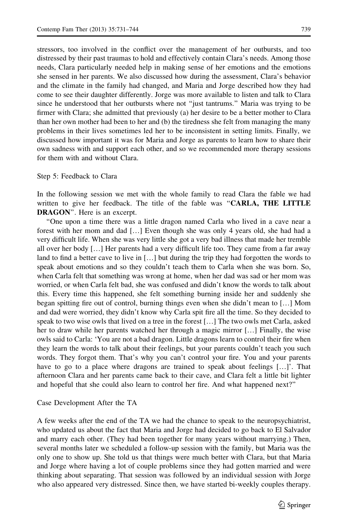stressors, too involved in the conflict over the management of her outbursts, and too distressed by their past traumas to hold and effectively contain Clara's needs. Among those needs, Clara particularly needed help in making sense of her emotions and the emotions she sensed in her parents. We also discussed how during the assessment, Clara's behavior and the climate in the family had changed, and Maria and Jorge described how they had come to see their daughter differently. Jorge was more available to listen and talk to Clara since he understood that her outbursts where not ''just tantrums.'' Maria was trying to be firmer with Clara; she admitted that previously (a) her desire to be a better mother to Clara than her own mother had been to her and (b) the tiredness she felt from managing the many problems in their lives sometimes led her to be inconsistent in setting limits. Finally, we discussed how important it was for Maria and Jorge as parents to learn how to share their own sadness with and support each other, and so we recommended more therapy sessions for them with and without Clara.

#### Step 5: Feedback to Clara

In the following session we met with the whole family to read Clara the fable we had written to give her feedback. The title of the fable was "**CARLA, THE LITTLE** DRAGON''. Here is an excerpt.

''One upon a time there was a little dragon named Carla who lived in a cave near a forest with her mom and dad […] Even though she was only 4 years old, she had had a very difficult life. When she was very little she got a very bad illness that made her tremble all over her body […] Her parents had a very difficult life too. They came from a far away land to find a better cave to live in […] but during the trip they had forgotten the words to speak about emotions and so they couldn't teach them to Carla when she was born. So, when Carla felt that something was wrong at home, when her dad was sad or her mom was worried, or when Carla felt bad, she was confused and didn't know the words to talk about this. Every time this happened, she felt something burning inside her and suddenly she began spitting fire out of control, burning things even when she didn't mean to […] Mom and dad were worried, they didn't know why Carla spit fire all the time. So they decided to speak to two wise owls that lived on a tree in the forest […] The two owls met Carla, asked her to draw while her parents watched her through a magic mirror […] Finally, the wise owls said to Carla: 'You are not a bad dragon. Little dragons learn to control their fire when they learn the words to talk about their feelings, but your parents couldn't teach you such words. They forgot them. That's why you can't control your fire. You and your parents have to go to a place where dragons are trained to speak about feelings […]'. That afternoon Clara and her parents came back to their cave, and Clara felt a little bit lighter and hopeful that she could also learn to control her fire. And what happened next?''

#### Case Development After the TA

A few weeks after the end of the TA we had the chance to speak to the neuropsychiatrist, who updated us about the fact that Maria and Jorge had decided to go back to El Salvador and marry each other. (They had been together for many years without marrying.) Then, several months later we scheduled a follow-up session with the family, but Maria was the only one to show up. She told us that things were much better with Clara, but that Maria and Jorge where having a lot of couple problems since they had gotten married and were thinking about separating. That session was followed by an individual session with Jorge who also appeared very distressed. Since then, we have started bi-weekly couples therapy.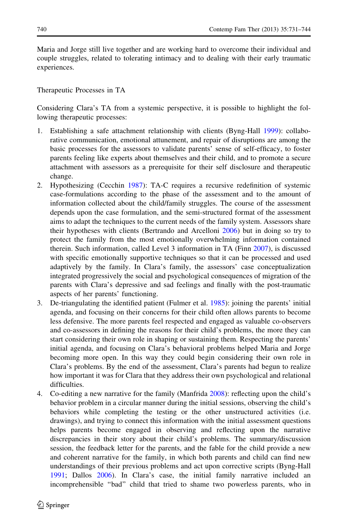Maria and Jorge still live together and are working hard to overcome their individual and couple struggles, related to tolerating intimacy and to dealing with their early traumatic experiences.

Therapeutic Processes in TA

Considering Clara's TA from a systemic perspective, it is possible to highlight the following therapeutic processes:

- 1. Establishing a safe attachment relationship with clients (Byng-Hall [1999\)](#page-11-0): collaborative communication, emotional attunement, and repair of disruptions are among the basic processes for the assessors to validate parents' sense of self-efficacy, to foster parents feeling like experts about themselves and their child, and to promote a secure attachment with assessors as a prerequisite for their self disclosure and therapeutic change.
- 2. Hypothesizing (Cecchin [1987](#page-11-0)): TA-C requires a recursive redefinition of systemic case-formulations according to the phase of the assessment and to the amount of information collected about the child/family struggles. The course of the assessment depends upon the case formulation, and the semi-structured format of the assessment aims to adapt the techniques to the current needs of the family system. Assessors share their hypotheses with clients (Bertrando and Arcelloni [2006\)](#page-11-0) but in doing so try to protect the family from the most emotionally overwhelming information contained therein. Such information, called Level 3 information in TA (Finn [2007](#page-11-0)), is discussed with specific emotionally supportive techniques so that it can be processed and used adaptively by the family. In Clara's family, the assessors' case conceptualization integrated progressively the social and psychological consequences of migration of the parents with Clara's depressive and sad feelings and finally with the post-traumatic aspects of her parents' functioning.
- 3. De-triangulating the identified patient (Fulmer et al. [1985](#page-11-0)): joining the parents' initial agenda, and focusing on their concerns for their child often allows parents to become less defensive. The more parents feel respected and engaged as valuable co-observers and co-assessors in defining the reasons for their child's problems, the more they can start considering their own role in shaping or sustaining them. Respecting the parents' initial agenda, and focusing on Clara's behavioral problems helped Maria and Jorge becoming more open. In this way they could begin considering their own role in Clara's problems. By the end of the assessment, Clara's parents had begun to realize how important it was for Clara that they address their own psychological and relational difficulties.
- 4. Co-editing a new narrative for the family (Manfrida [2008\)](#page-12-0): reflecting upon the child's behavior problem in a circular manner during the initial sessions, observing the child's behaviors while completing the testing or the other unstructured activities (i.e. drawings), and trying to connect this information with the initial assessment questions helps parents become engaged in observing and reflecting upon the narrative discrepancies in their story about their child's problems. The summary/discussion session, the feedback letter for the parents, and the fable for the child provide a new and coherent narrative for the family, in which both parents and child can find new understandings of their previous problems and act upon corrective scripts (Byng-Hall [1991](#page-11-0); Dallos [2006](#page-11-0)). In Clara's case, the initial family narrative included an incomprehensible ''bad'' child that tried to shame two powerless parents, who in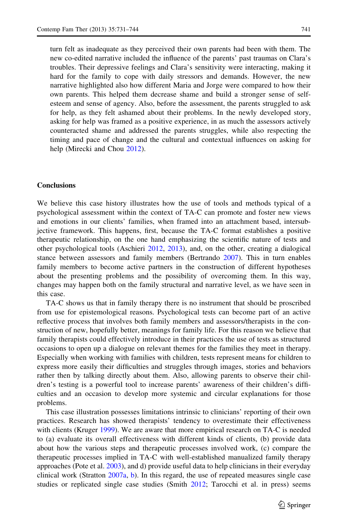turn felt as inadequate as they perceived their own parents had been with them. The new co-edited narrative included the influence of the parents' past traumas on Clara's troubles. Their depressive feelings and Clara's sensitivity were interacting, making it hard for the family to cope with daily stressors and demands. However, the new narrative highlighted also how different Maria and Jorge were compared to how their own parents. This helped them decrease shame and build a stronger sense of selfesteem and sense of agency. Also, before the assessment, the parents struggled to ask for help, as they felt ashamed about their problems. In the newly developed story, asking for help was framed as a positive experience, in as much the assessors actively counteracted shame and addressed the parents struggles, while also respecting the timing and pace of change and the cultural and contextual influences on asking for help (Mirecki and Chou [2012\)](#page-12-0).

### Conclusions

We believe this case history illustrates how the use of tools and methods typical of a psychological assessment within the context of TA-C can promote and foster new views and emotions in our clients' families, when framed into an attachment based, intersubjective framework. This happens, first, because the TA-C format establishes a positive therapeutic relationship, on the one hand emphasizing the scientific nature of tests and other psychological tools (Aschieri [2012,](#page-11-0) [2013\)](#page-11-0), and, on the other, creating a dialogical stance between assessors and family members (Bertrando [2007](#page-11-0)). This in turn enables family members to become active partners in the construction of different hypotheses about the presenting problems and the possibility of overcoming them. In this way, changes may happen both on the family structural and narrative level, as we have seen in this case.

TA-C shows us that in family therapy there is no instrument that should be proscribed from use for epistemological reasons. Psychological tests can become part of an active reflective process that involves both family members and assessors/therapists in the construction of new, hopefully better, meanings for family life. For this reason we believe that family therapists could effectively introduce in their practices the use of tests as structured occasions to open up a dialogue on relevant themes for the families they meet in therapy. Especially when working with families with children, tests represent means for children to express more easily their difficulties and struggles through images, stories and behaviors rather then by talking directly about them. Also, allowing parents to observe their children's testing is a powerful tool to increase parents' awareness of their children's difficulties and an occasion to develop more systemic and circular explanations for those problems.

This case illustration possesses limitations intrinsic to clinicians' reporting of their own practices. Research has showed therapists' tendency to overestimate their effectiveness with clients (Kruger [1999](#page-12-0)). We are aware that more empirical research on TA-C is needed to (a) evaluate its overall effectiveness with different kinds of clients, (b) provide data about how the various steps and therapeutic processes involved work, (c) compare the therapeutic processes implied in TA-C with well-established manualized family therapy approaches (Pote et al. [2003](#page-12-0)), and d) provide useful data to help clinicians in their everyday clinical work (Stratton [2007a,](#page-12-0) [b\)](#page-12-0). In this regard, the use of repeated measures single case studies or replicated single case studies (Smith [2012;](#page-12-0) Tarocchi et al. in press) seems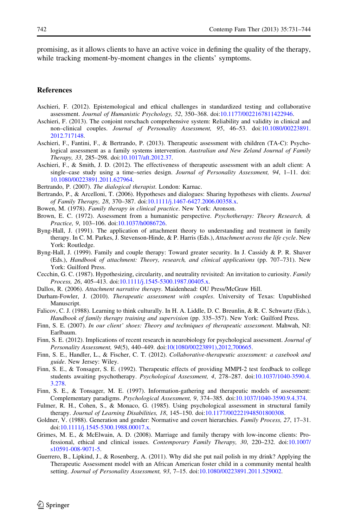<span id="page-11-0"></span>promising, as it allows clients to have an active voice in defining the quality of the therapy, while tracking moment-by-moment changes in the clients' symptoms.

## **References**

- Aschieri, F. (2012). Epistemological and ethical challenges in standardized testing and collaborative assessment. Journal of Humanistic Psychology, 52, 350–368. doi[:10.1177/0022167811422946.](http://dx.doi.org/10.1177/0022167811422946)
- Aschieri, F. (2013). The conjoint rorschach comprehensive system: Reliability and validity in clinical and non–clinical couples. Journal of Personality Assessment, 95, 46–53. doi:[10.1080/00223891.](http://dx.doi.org/10.1080/00223891.2012.717148) [2012.717148.](http://dx.doi.org/10.1080/00223891.2012.717148)
- Aschieri, F., Fantini, F., & Bertrando, P. (2013). Therapeutic assessment with children (TA-C): Psychological assessment as a family systems intervention. Australian and New Zeland Journal of Family Therapy, 33, 285–298. doi[:10.1017/aft.2012.37.](http://dx.doi.org/10.1017/aft.2012.37)
- Aschieri, F., & Smith, J. D. (2012). The effectiveness of therapeutic assessment with an adult client: A single–case study using a time–series design. Journal of Personality Assessment, 94, 1-11. doi: [10.1080/00223891.2011.627964](http://dx.doi.org/10.1080/00223891.2011.627964).
- Bertrando, P. (2007). The dialogical therapist. London: Karnac.
- Bertrando, P., & Arcelloni, T. (2006). Hypotheses and dialogues: Sharing hypotheses with clients. Journal of Family Therapy, 28, 370–387. doi:[10.1111/j.1467-6427.2006.00358.x.](http://dx.doi.org/10.1111/j.1467-6427.2006.00358.x)
- Bowen, M. (1978). Family therapy in clinical practice. New York: Aronson.
- Brown, E. C. (1972). Assessment from a humanistic perspective. Psychotherapy: Theory Research, & Practice, 9, 103–106. doi[:10.1037/h0086726.](http://dx.doi.org/10.1037/h0086726)
- Byng-Hall, J. (1991). The application of attachment theory to understanding and treatment in family therapy. In C. M. Parkes, J. Stevenson-Hinde, & P. Harris (Eds.), Attachment across the life cycle. New York: Routledge.
- Byng-Hall, J. (1999). Family and couple therapy: Toward greater security. In J. Cassidy & P. R. Shaver (Eds.), Handbook of attachment: Theory, research, and clinical applications (pp. 707–731). New York: Guilford Press.
- Cecchin, G. C. (1987). Hypothesizing, circularity, and neutrality revisited: An invitation to curiosity. Family Process, 26, 405–413. doi[:10.1111/j.1545-5300.1987.00405.x](http://dx.doi.org/10.1111/j.1545-5300.1987.00405.x).
- Dallos, R. (2006). Attachment narrative therapy. Maidenhead: OU Press/McGraw Hill.
- Durham-Fowler, J. (2010). Therapeutic assessment with couples. University of Texas: Unpublished Manuscript.
- Falicov, C. J. (1988). Learning to think culturally. In H. A. Liddle, D. C. Breunlin, & R. C. Schwartz (Eds.), Handbook of family therapy training and supervision (pp. 335–357). New York: Guilford Press.
- Finn, S. E. (2007). In our client' shoes: Theory and techniques of therapeutic assessment. Mahwah, NJ: Earlbaum.
- Finn, S. E. (2012). Implications of recent research in neurobiology for psychological assessment. Journal of Personality Assessment, 94(5), 440–449. doi:[10\(1080/00223891\),2012,700665.](http://dx.doi.org/10(1080/00223891),2012,700665)
- Finn, S. E., Handler, L., & Fischer, C. T. (2012). Collaborative-therapeutic assessment: a casebook and guide. New Jersey: Wiley.
- Finn, S. E., & Tonsager, S. E. (1992). Therapeutic effects of providing MMPI-2 test feedback to college students awaiting psychotherapy. Psychological Assessment, 4, 278–287. doi[:10.1037/1040-3590.4.](http://dx.doi.org/10.1037/1040-3590.4.3.278) [3.278.](http://dx.doi.org/10.1037/1040-3590.4.3.278)
- Finn, S. E., & Tonsager, M. E. (1997). Information-gathering and therapeutic models of assessment: Complementary paradigms. Psychological Assessment, 9, 374–385. doi:[10.1037/1040-3590.9.4.374](http://dx.doi.org/10.1037/1040-3590.9.4.374).
- Fulmer, R. H., Cohen, S., & Monaco, G. (1985). Using psychological assessment in structural family therapy. Journal of Learning Disabilities, 18, 145–150. doi[:10.1177/002221948501800308.](http://dx.doi.org/10.1177/002221948501800308)
- Goldner, V. (1988). Generation and gender: Normative and covert hierarchies. Family Process, 27, 17-31. doi[:10.1111/j.1545-5300.1988.00017.x.](http://dx.doi.org/10.1111/j.1545-5300.1988.00017.x)
- Grimes, M. E., & McElwain, A. D. (2008). Marriage and family therapy with low-income clients: Professional, ethical and clinical issues. Contemporary Family Therapy, 30, 220–232. doi:[10.1007/](http://dx.doi.org/10.1007/s10591-008-9071-5) [s10591-008-9071-5](http://dx.doi.org/10.1007/s10591-008-9071-5).
- Guerrero, B., Lipkind, J., & Rosenberg, A. (2011). Why did she put nail polish in my drink? Applying the Therapeutic Assessment model with an African American foster child in a community mental health setting. Journal of Personality Assessment, 93, 7–15. doi:[10.1080/00223891.2011.529002](http://dx.doi.org/10.1080/00223891.2011.529002).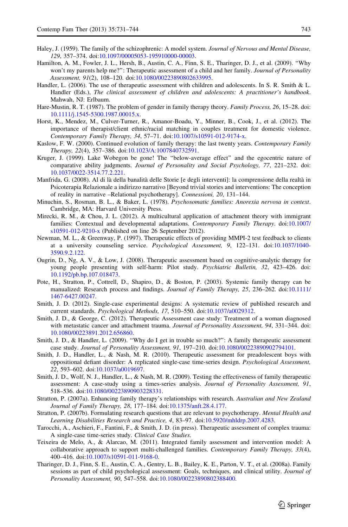- <span id="page-12-0"></span>Haley, J. (1959). The family of the schizophrenic: A model system. Journal of Nervous and Mental Disease, 129, 357–374. doi[:10.1097/00005053-195910000-00003.](http://dx.doi.org/10.1097/00005053-195910000-00003)
- Hamilton, A. M., Fowler, J. L., Hersh, B., Austin, C. A., Finn, S. E., Tharinger, D. J., et al. (2009). ''Why won't my parents help me?": Therapeutic assessment of a child and her family. Journal of Personality Assessment, 91(2), 108–120. doi[:10.1080/00223890802633995.](http://dx.doi.org/10.1080/00223890802633995)
- Handler, L. (2006). The use of therapeutic assessment with children and adolescents. In S. R. Smith & L. Handler (Eds.), The clinical assessment of children and adolescents: A practitioner's handbook. Mahwah, NJ: Erlbaum.
- Hare-Mustin, R. T. (1987). The problem of gender in family therapy theory. Family Process, 26, 15–28. doi: [10.1111/j.1545-5300.1987.00015.x](http://dx.doi.org/10.1111/j.1545-5300.1987.00015.x).
- Horst, K., Mendez, M., Culver-Turner, R., Amanor-Boadu, Y., Minner, B., Cook, J., et al. (2012). The importance of therapist/client ethnic/racial matching in couples treatment for domestic violence. Contemporary Family Therapy, 34, 57–71. doi:[10.1007/s10591-012-9174-x](http://dx.doi.org/10.1007/s10591-012-9174-x).
- Kaslow, F. W. (2000). Continued evolution of family therapy: the last twenty years. Contemporary Family Therapy, 22(4), 357–386. doi:[10.1023/A:1007840732591](http://dx.doi.org/10.1023/A:1007840732591).
- Kruger, J. (1999). Lake Wobegon be gone! The ''below-average effect'' and the egocentric nature of comparative ability judgments. Journal of Personality and Social Psychology, 77, 221–232. doi: [10.1037/0022-3514.77.2.221](http://dx.doi.org/10.1037/0022-3514.77.2.221).
- Manfrida, G. (2008). Al di là della banalità delle Storie [e degli interventi]: la comprensione della realtà in Psicoterapia Relazionale a indirizzo narrativo [Beyond trivial stories and interventions: The conception of reality in narrative –Relational psychotherapy]. Connessioni, 20, 131–144.
- Minuchin, S., Rosman, B. L., & Baker, L. (1978). Psychosomatic families: Anorexia nervosa in context. Cambridge, MA: Harvard University Press.
- Mirecki, R. M., & Chou, J. L. (2012). A multicultural application of attachment theory with immigrant families: Contextual and developmental adaptations. Contemporary Family Therapy. doi:[10.1007/](http://dx.doi.org/10.1007/s10591-012-9210-x) [s10591-012-9210-x](http://dx.doi.org/10.1007/s10591-012-9210-x) (Published on line 26 September 2012).
- Newman, M. L., & Greenway, P. (1997). Therapeutic effects of providing MMPI-2 test feedback to clients at a university counseling service. Psychological Assessment, 9, 122–131. doi[:10.1037/1040-](http://dx.doi.org/10.1037/1040-3590.9.2.122) [3590.9.2.122.](http://dx.doi.org/10.1037/1040-3590.9.2.122)
- Ougrin, D., Ng, A. V., & Low, J. (2008). Therapeutic assessment based on cognitive-analytic therapy for young people presenting with self-harm: Pilot study. Psychiatric Bulletin, 32, 423–426. doi: [10.1192/pb.bp.107.018473](http://dx.doi.org/10.1192/pb.bp.107.018473).
- Pote, H., Stratton, P., Cottrell, D., Shapiro, D., & Boston, P. (2003). Systemic family therapy can be manualized: Research process and findings. Journal of Family Therapy, 25, 236–262. doi:[10.1111/](http://dx.doi.org/10.1111/1467-6427.00247) [1467-6427.00247](http://dx.doi.org/10.1111/1467-6427.00247).
- Smith, J. D. (2012). Single-case experimental designs: A systematic review of published research and current standards. Psychological Methods, 17, 510–550. doi[:10.1037/a0029312.](http://dx.doi.org/10.1037/a0029312)
- Smith, J. D., & George, C. (2012). Therapeutic Assessment case study: Treatment of a woman diagnosed with metastatic cancer and attachment trauma. Journal of Personality Assessment, 94, 331-344. doi: [10.1080/00223891.2012.656860](http://dx.doi.org/10.1080/00223891.2012.656860).
- Smith, J. D., & Handler, L. (2009). ''Why do I get in trouble so much?'': A family therapeutic assessment case study. Journal of Personality Assessment, 91, 197–210. doi[:10.1080/00223890902794101.](http://dx.doi.org/10.1080/00223890902794101)
- Smith, J. D., Handler, L., & Nash, M. R. (2010). Therapeutic assessment for preadolescent boys with oppositional defiant disorder: A replicated single-case time-series design. Psychological Assessment, 22, 593–602. doi[:10.1037/a0019697.](http://dx.doi.org/10.1037/a0019697)
- Smith, J. D., Wolf, N. J., Handler, L., & Nash, M. R. (2009). Testing the effectiveness of family therapeutic assessment: A case-study using a times-series analysis. Journal of Personality Assessment, 91, 518–536. doi:[10.1080/00223890903228331](http://dx.doi.org/10.1080/00223890903228331).
- Stratton, P. (2007a). Enhancing family therapy's relationships with research. Australian and New Zealand Journal of Family Therapy, 28, 177–184. doi:[10.1375/anft.28.4.177](http://dx.doi.org/10.1375/anft.28.4.177).
- Stratton, P. (2007b). Formulating research questions that are relevant to psychotherapy. Mental Health and Learning Disabilities Research and Practice, 4, 83–97. doi[:10.5920/mhldrp.2007.4283.](http://dx.doi.org/10.5920/mhldrp.2007.4283)
- Tarocchi, A., Aschieri, F., Fantini, F., & Smith, J. D. (in press). Therapeutic assessment of complex trauma: A single-case time-series study. Clinical Case Studies.
- Teixeira de Melo, A., & Alarcao, M. (2011). Integrated family assessment and intervention model: A collaborative approach to support multi-challenged families. Contemporary Family Therapy, 33(4), 400–416. doi:[10.1007/s10591-011-9168-0](http://dx.doi.org/10.1007/s10591-011-9168-0).
- Tharinger, D. J., Finn, S. E., Austin, C. A., Gentry, L. B., Bailey, K. E., Parton, V. T., et al. (2008a). Family sessions as part of child psychological assessment: Goals, techniques, and clinical utility. Journal of Personality Assessment, 90, 547–558. doi[:10.1080/00223890802388400](http://dx.doi.org/10.1080/00223890802388400).